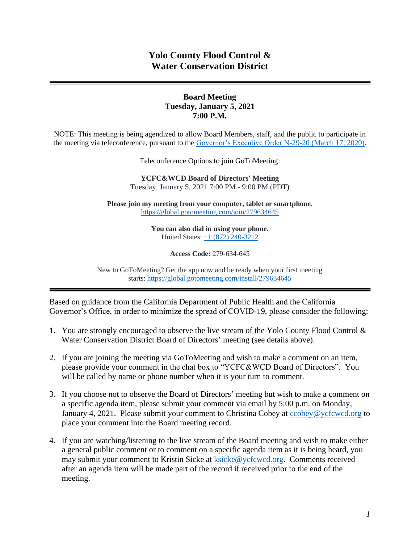# **Yolo County Flood Control & Water Conservation District**

#### **Board Meeting Tuesday, January 5, 2021 7:00 P.M.**

NOTE: This meeting is being agendized to allow Board Members, staff, and the public to participate in the meeting via teleconference, pursuant to the [Governor's Executive Order N-29-20 \(March 17, 2020\).](https://www.gov.ca.gov/wp-content/uploads/2020/03/3.17.20-N-29-20-EO.pdf)

Teleconference Options to join GoToMeeting:

**YCFC&WCD Board of Directors' Meeting**  Tuesday, January 5, 2021 7:00 PM - 9:00 PM (PDT)

**Please join my meeting from your computer, tablet or smartphone.** <https://global.gotomeeting.com/join/279634645>

> **You can also dial in using your phone.** United States: [+1 \(872\) 240-3212](tel:+18722403212,,279634645)

> > **Access Code:** 279-634-645

New to GoToMeeting? Get the app now and be ready when your first meeting starts: <https://global.gotomeeting.com/install/279634645>

Based on guidance from the California Department of Public Health and the California Governor's Office, in order to minimize the spread of COVID-19, please consider the following:

- 1. You are strongly encouraged to observe the live stream of the Yolo County Flood Control & Water Conservation District Board of Directors' meeting (see details above).
- 2. If you are joining the meeting via GoToMeeting and wish to make a comment on an item, please provide your comment in the chat box to "YCFC&WCD Board of Directors". You will be called by name or phone number when it is your turn to comment.
- 3. If you choose not to observe the Board of Directors' meeting but wish to make a comment on a specific agenda item, please submit your comment via email by 5:00 p.m. on Monday, January 4, 2021. Please submit your comment to Christina Cobey at cobey@ycfcwcd.org to place your comment into the Board meeting record.
- 4. If you are watching/listening to the live stream of the Board meeting and wish to make either a general public comment or to comment on a specific agenda item as it is being heard, you may submit your comment to Kristin Sicke at [ksicke@ycfcwcd.org.](file://///Yolo-DC01/Shared/ADMINISTRATION/Board%20of%20Directors/Package/2020/BOD%20Pkg%204-7-2020/ksicke@ycfcwcd.org) Comments received after an agenda item will be made part of the record if received prior to the end of the meeting.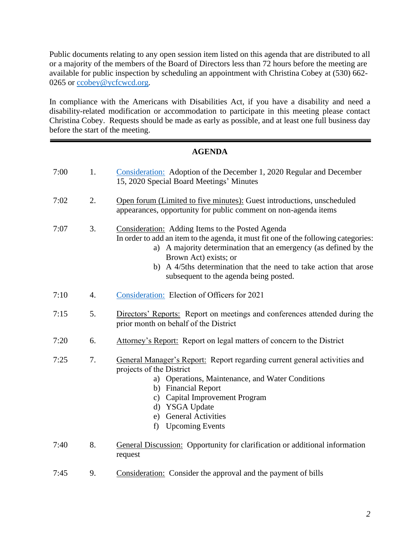Public documents relating to any open session item listed on this agenda that are distributed to all or a majority of the members of the Board of Directors less than 72 hours before the meeting are available for public inspection by scheduling an appointment with Christina Cobey at (530) 662- 0265 or [ccobey@ycfcwcd.org](mailto:ccobey@ycfcwcd.org)*.* 

In compliance with the Americans with Disabilities Act, if you have a disability and need a disability-related modification or accommodation to participate in this meeting please contact Christina Cobey. Requests should be made as early as possible, and at least one full business day before the start of the meeting.

#### **AGENDA**

| 7:00 | 1.               | Consideration: Adoption of the December 1, 2020 Regular and December<br>15, 2020 Special Board Meetings' Minutes                                                                                                                                                                                                                                    |
|------|------------------|-----------------------------------------------------------------------------------------------------------------------------------------------------------------------------------------------------------------------------------------------------------------------------------------------------------------------------------------------------|
| 7:02 | 2.               | Open forum (Limited to five minutes): Guest introductions, unscheduled<br>appearances, opportunity for public comment on non-agenda items                                                                                                                                                                                                           |
| 7:07 | 3.               | Consideration: Adding Items to the Posted Agenda<br>In order to add an item to the agenda, it must fit one of the following categories:<br>a) A majority determination that an emergency (as defined by the<br>Brown Act) exists; or<br>b) A 4/5ths determination that the need to take action that arose<br>subsequent to the agenda being posted. |
| 7:10 | $\overline{4}$ . | Consideration: Election of Officers for 2021                                                                                                                                                                                                                                                                                                        |
| 7:15 | 5.               | Directors' Reports: Report on meetings and conferences attended during the<br>prior month on behalf of the District                                                                                                                                                                                                                                 |
| 7:20 | 6.               | Attorney's Report: Report on legal matters of concern to the District                                                                                                                                                                                                                                                                               |
| 7:25 | 7.               | General Manager's Report: Report regarding current general activities and<br>projects of the District<br>a) Operations, Maintenance, and Water Conditions<br>b) Financial Report<br>Capital Improvement Program<br>$\mathbf{c})$<br><b>YSGA Update</b><br>$\rm d$<br><b>General Activities</b><br>e)<br><b>Upcoming Events</b><br>f)                |
| 7:40 | 8.               | <b>General Discussion:</b> Opportunity for clarification or additional information<br>request                                                                                                                                                                                                                                                       |

7:45 9. Consideration: Consider the approval and the payment of bills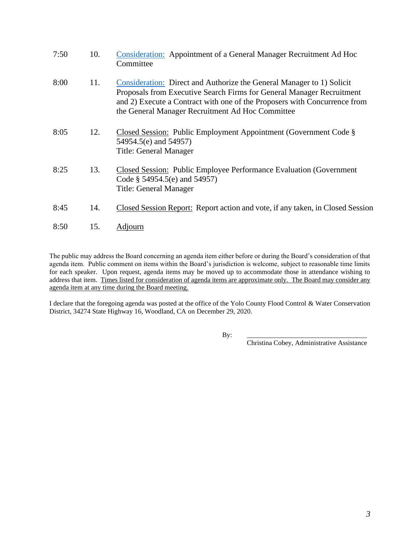| 7:50 | 10. | <b>Consideration:</b> Appointment of a General Manager Recruitment Ad Hoc<br>Committee                                                                                                                                                                                          |
|------|-----|---------------------------------------------------------------------------------------------------------------------------------------------------------------------------------------------------------------------------------------------------------------------------------|
| 8:00 | 11. | Consideration: Direct and Authorize the General Manager to 1) Solicit<br>Proposals from Executive Search Firms for General Manager Recruitment<br>and 2) Execute a Contract with one of the Proposers with Concurrence from<br>the General Manager Recruitment Ad Hoc Committee |
| 8:05 | 12. | Closed Session: Public Employment Appointment (Government Code §<br>54954.5(e) and 54957)<br><b>Title: General Manager</b>                                                                                                                                                      |
| 8:25 | 13. | <b>Closed Session:</b> Public Employee Performance Evaluation (Government)<br>Code § 54954.5(e) and 54957)<br><b>Title: General Manager</b>                                                                                                                                     |
| 8:45 | 14. | Closed Session Report: Report action and vote, if any taken, in Closed Session                                                                                                                                                                                                  |
| 8:50 | 15. | Adjourn                                                                                                                                                                                                                                                                         |

The public may address the Board concerning an agenda item either before or during the Board's consideration of that agenda item. Public comment on items within the Board's jurisdiction is welcome, subject to reasonable time limits for each speaker. Upon request, agenda items may be moved up to accommodate those in attendance wishing to address that item. Times listed for consideration of agenda items are approximate only. The Board may consider any agenda item at any time during the Board meeting.

I declare that the foregoing agenda was posted at the office of the Yolo County Flood Control & Water Conservation District, 34274 State Highway 16, Woodland, CA on December 29, 2020.

By: \_\_\_\_\_\_\_\_\_\_\_\_\_\_\_\_\_\_\_\_\_\_\_\_\_\_\_\_\_\_\_\_\_\_\_

Christina Cobey, Administrative Assistance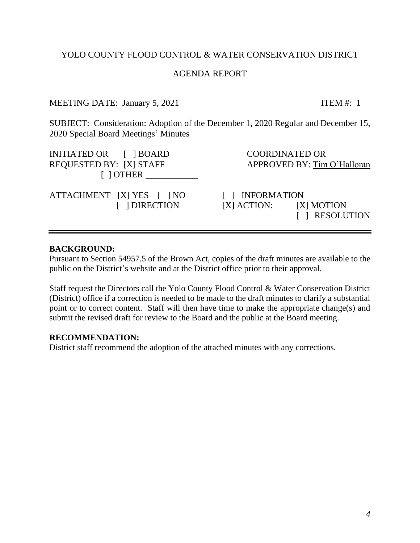#### AGENDA REPORT

MEETING DATE: January 5, 2021 ITEM #: 1

<span id="page-3-0"></span>SUBJECT: Consideration: Adoption of the December 1, 2020 Regular and December 15, 2020 Special Board Meetings' Minutes

| INITIATED OR [ ] BOARD<br>REQUESTED BY: [X] STAFF<br>$\lceil$ $\rceil$ OTHER |                 | <b>COORDINATED OR</b><br>APPROVED BY: Tim O'Halloran |
|------------------------------------------------------------------------------|-----------------|------------------------------------------------------|
| ATTACHMENT [X] YES [ ] NO<br>[ ] DIRECTION                                   | [ ] INFORMATION | $[X]$ ACTION: $[X]$ MOTION<br>[ ] RESOLUTION         |

#### **BACKGROUND:**

Pursuant to Section 54957.5 of the Brown Act, copies of the draft minutes are available to the public on the District's website and at the District office prior to their approval.

Staff request the Directors call the Yolo County Flood Control & Water Conservation District (District) office if a correction is needed to be made to the draft minutes to clarify a substantial point or to correct content. Staff will then have time to make the appropriate change(s) and submit the revised draft for review to the Board and the public at the Board meeting.

#### **RECOMMENDATION:**

District staff recommend the adoption of the attached minutes with any corrections.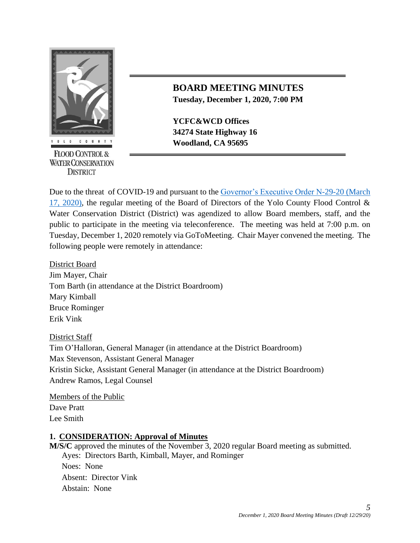

**FLOOD CONTROL & WATER CONSERVATION DISTRICT** 

# **BOARD MEETING MINUTES Tuesday, December 1, 2020, 7:00 PM**

**YCFC&WCD Offices 34274 State Highway 16** *COUNTY* **Woodland, CA 95695** 

Due to the threat of COVID-19 and pursuant to the [Governor's Executive Order N-29-20 \(March](https://www.gov.ca.gov/wp-content/uploads/2020/03/3.17.20-N-29-20-EO.pdf)  [17, 2020\),](https://www.gov.ca.gov/wp-content/uploads/2020/03/3.17.20-N-29-20-EO.pdf) the regular meeting of the Board of Directors of the Yolo County Flood Control & Water Conservation District (District) was agendized to allow Board members, staff, and the public to participate in the meeting via teleconference. The meeting was held at 7:00 p.m. on Tuesday, December 1, 2020 remotely via GoToMeeting. Chair Mayer convened the meeting. The following people were remotely in attendance:

District Board Jim Mayer, Chair Tom Barth (in attendance at the District Boardroom) Mary Kimball Bruce Rominger Erik Vink

District Staff Tim O'Halloran, General Manager (in attendance at the District Boardroom) Max Stevenson, Assistant General Manager Kristin Sicke, Assistant General Manager (in attendance at the District Boardroom) Andrew Ramos, Legal Counsel

Members of the Public Dave Pratt Lee Smith

#### **1. CONSIDERATION: Approval of Minutes**

**M/S/C** approved the minutes of the November 3, 2020 regular Board meeting as submitted. Ayes: Directors Barth, Kimball, Mayer, and Rominger Noes: None Absent: Director Vink Abstain: None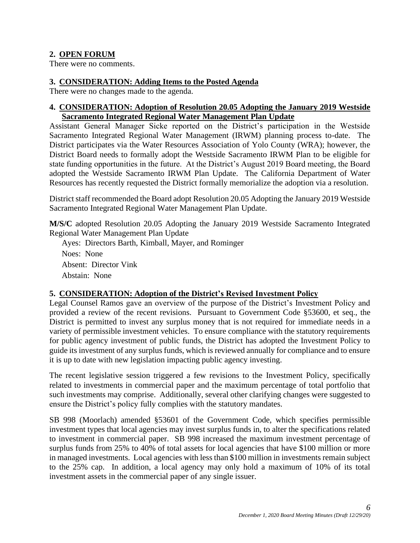### **2. OPEN FORUM**

There were no comments.

#### **3. CONSIDERATION: Adding Items to the Posted Agenda**

There were no changes made to the agenda.

#### **4. CONSIDERATION: Adoption of Resolution 20.05 Adopting the January 2019 Westside Sacramento Integrated Regional Water Management Plan Update**

Assistant General Manager Sicke reported on the District's participation in the Westside Sacramento Integrated Regional Water Management (IRWM) planning process to-date. The District participates via the Water Resources Association of Yolo County (WRA); however, the District Board needs to formally adopt the Westside Sacramento IRWM Plan to be eligible for state funding opportunities in the future. At the District's August 2019 Board meeting, the Board adopted the Westside Sacramento IRWM Plan Update. The California Department of Water Resources has recently requested the District formally memorialize the adoption via a resolution.

District staff recommended the Board adopt Resolution 20.05 Adopting the January 2019 Westside Sacramento Integrated Regional Water Management Plan Update.

**M/S/C** adopted Resolution 20.05 Adopting the January 2019 Westside Sacramento Integrated Regional Water Management Plan Update

Ayes: Directors Barth, Kimball, Mayer, and Rominger Noes: None Absent: Director Vink Abstain: None

#### **5. CONSIDERATION: Adoption of the District's Revised Investment Policy**

Legal Counsel Ramos gave an overview of the purpose of the District's Investment Policy and provided a review of the recent revisions. Pursuant to Government Code §53600, et seq., the District is permitted to invest any surplus money that is not required for immediate needs in a variety of permissible investment vehicles. To ensure compliance with the statutory requirements for public agency investment of public funds, the District has adopted the Investment Policy to guide its investment of any surplus funds, which is reviewed annually for compliance and to ensure it is up to date with new legislation impacting public agency investing.

The recent legislative session triggered a few revisions to the Investment Policy, specifically related to investments in commercial paper and the maximum percentage of total portfolio that such investments may comprise. Additionally, several other clarifying changes were suggested to ensure the District's policy fully complies with the statutory mandates.

SB 998 (Moorlach) amended §53601 of the Government Code, which specifies permissible investment types that local agencies may invest surplus funds in, to alter the specifications related to investment in commercial paper. SB 998 increased the maximum investment percentage of surplus funds from 25% to 40% of total assets for local agencies that have \$100 million or more in managed investments. Local agencies with less than \$100 million in investments remain subject to the 25% cap. In addition, a local agency may only hold a maximum of 10% of its total investment assets in the commercial paper of any single issuer.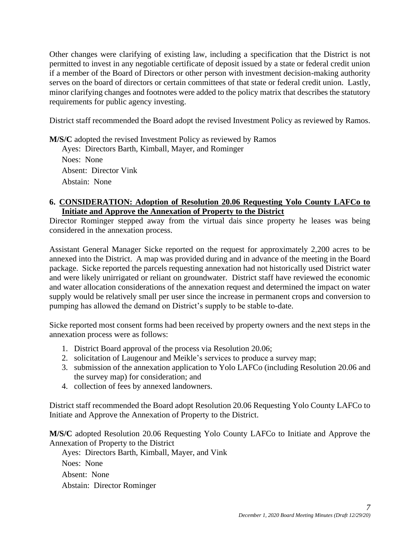Other changes were clarifying of existing law, including a specification that the District is not permitted to invest in any negotiable certificate of deposit issued by a state or federal credit union if a member of the Board of Directors or other person with investment decision-making authority serves on the board of directors or certain committees of that state or federal credit union. Lastly, minor clarifying changes and footnotes were added to the policy matrix that describes the statutory requirements for public agency investing.

District staff recommended the Board adopt the revised Investment Policy as reviewed by Ramos.

**M/S/C** adopted the revised Investment Policy as reviewed by Ramos

Ayes: Directors Barth, Kimball, Mayer, and Rominger Noes: None Absent: Director Vink Abstain: None

#### **6. CONSIDERATION: Adoption of Resolution 20.06 Requesting Yolo County LAFCo to Initiate and Approve the Annexation of Property to the District**

Director Rominger stepped away from the virtual dais since property he leases was being considered in the annexation process.

Assistant General Manager Sicke reported on the request for approximately 2,200 acres to be annexed into the District. A map was provided during and in advance of the meeting in the Board package. Sicke reported the parcels requesting annexation had not historically used District water and were likely unirrigated or reliant on groundwater. District staff have reviewed the economic and water allocation considerations of the annexation request and determined the impact on water supply would be relatively small per user since the increase in permanent crops and conversion to pumping has allowed the demand on District's supply to be stable to-date.

Sicke reported most consent forms had been received by property owners and the next steps in the annexation process were as follows:

- 1. District Board approval of the process via Resolution 20.06;
- 2. solicitation of Laugenour and Meikle's services to produce a survey map;
- 3. submission of the annexation application to Yolo LAFCo (including Resolution 20.06 and the survey map) for consideration; and
- 4. collection of fees by annexed landowners.

District staff recommended the Board adopt Resolution 20.06 Requesting Yolo County LAFCo to Initiate and Approve the Annexation of Property to the District.

**M/S/C** adopted Resolution 20.06 Requesting Yolo County LAFCo to Initiate and Approve the Annexation of Property to the District

Ayes: Directors Barth, Kimball, Mayer, and Vink Noes: None Absent: None Abstain: Director Rominger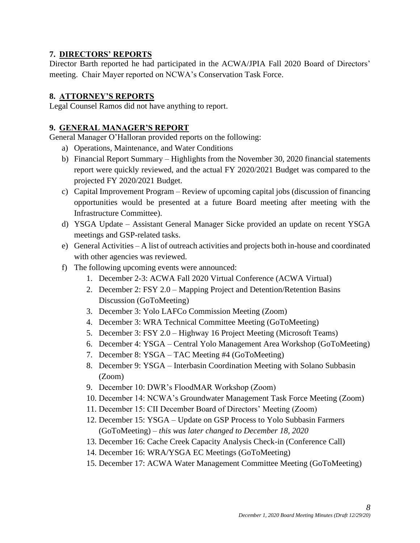### **7. DIRECTORS' REPORTS**

Director Barth reported he had participated in the ACWA/JPIA Fall 2020 Board of Directors' meeting. Chair Mayer reported on NCWA's Conservation Task Force.

## **8. ATTORNEY'S REPORTS**

Legal Counsel Ramos did not have anything to report.

### **9. GENERAL MANAGER'S REPORT**

General Manager O'Halloran provided reports on the following:

- a) Operations, Maintenance, and Water Conditions
- b) Financial Report Summary Highlights from the November 30, 2020 financial statements report were quickly reviewed, and the actual FY 2020/2021 Budget was compared to the projected FY 2020/2021 Budget.
- c) Capital Improvement Program Review of upcoming capital jobs (discussion of financing opportunities would be presented at a future Board meeting after meeting with the Infrastructure Committee).
- d) YSGA Update Assistant General Manager Sicke provided an update on recent YSGA meetings and GSP-related tasks.
- e) General Activities A list of outreach activities and projects both in-house and coordinated with other agencies was reviewed.
- f) The following upcoming events were announced:
	- 1. December 2-3: ACWA Fall 2020 Virtual Conference (ACWA Virtual)
	- 2. December 2: FSY 2.0 Mapping Project and Detention/Retention Basins Discussion (GoToMeeting)
	- 3. December 3: Yolo LAFCo Commission Meeting (Zoom)
	- 4. December 3: WRA Technical Committee Meeting (GoToMeeting)
	- 5. December 3: FSY 2.0 Highway 16 Project Meeting (Microsoft Teams)
	- 6. December 4: YSGA Central Yolo Management Area Workshop (GoToMeeting)
	- 7. December 8: YSGA TAC Meeting #4 (GoToMeeting)
	- 8. December 9: YSGA Interbasin Coordination Meeting with Solano Subbasin (Zoom)
	- 9. December 10: DWR's FloodMAR Workshop (Zoom)
	- 10. December 14: NCWA's Groundwater Management Task Force Meeting (Zoom)
	- 11. December 15: CII December Board of Directors' Meeting (Zoom)
	- 12. December 15: YSGA Update on GSP Process to Yolo Subbasin Farmers (GoToMeeting) *– this was later changed to December 18, 2020*
	- 13. December 16: Cache Creek Capacity Analysis Check-in (Conference Call)
	- 14. December 16: WRA/YSGA EC Meetings (GoToMeeting)
	- 15. December 17: ACWA Water Management Committee Meeting (GoToMeeting)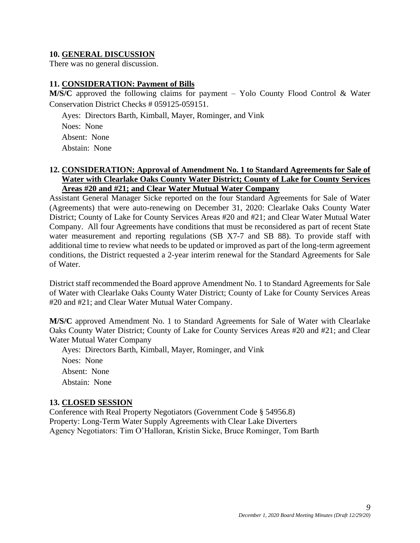#### **10. GENERAL DISCUSSION**

There was no general discussion.

#### **11. CONSIDERATION: Payment of Bills**

**M/S/C** approved the following claims for payment – Yolo County Flood Control & Water Conservation District Checks # 059125-059151.

Ayes: Directors Barth, Kimball, Mayer, Rominger, and Vink

Noes: None Absent: None

Abstain: None

#### **12. CONSIDERATION: Approval of Amendment No. 1 to Standard Agreements for Sale of Water with Clearlake Oaks County Water District; County of Lake for County Services Areas #20 and #21; and Clear Water Mutual Water Company**

Assistant General Manager Sicke reported on the four Standard Agreements for Sale of Water (Agreements) that were auto-renewing on December 31, 2020: Clearlake Oaks County Water District; County of Lake for County Services Areas #20 and #21; and Clear Water Mutual Water Company. All four Agreements have conditions that must be reconsidered as part of recent State water measurement and reporting regulations (SB X7-7 and SB 88). To provide staff with additional time to review what needs to be updated or improved as part of the long-term agreement conditions, the District requested a 2-year interim renewal for the Standard Agreements for Sale of Water.

District staff recommended the Board approve Amendment No. 1 to Standard Agreements for Sale of Water with Clearlake Oaks County Water District; County of Lake for County Services Areas #20 and #21; and Clear Water Mutual Water Company.

**M/S/C** approved Amendment No. 1 to Standard Agreements for Sale of Water with Clearlake Oaks County Water District; County of Lake for County Services Areas #20 and #21; and Clear Water Mutual Water Company

Ayes: Directors Barth, Kimball, Mayer, Rominger, and Vink Noes: None Absent: None Abstain: None

#### **13. CLOSED SESSION**

Conference with Real Property Negotiators (Government Code § 54956.8) Property: Long-Term Water Supply Agreements with Clear Lake Diverters Agency Negotiators: Tim O'Halloran, Kristin Sicke, Bruce Rominger, Tom Barth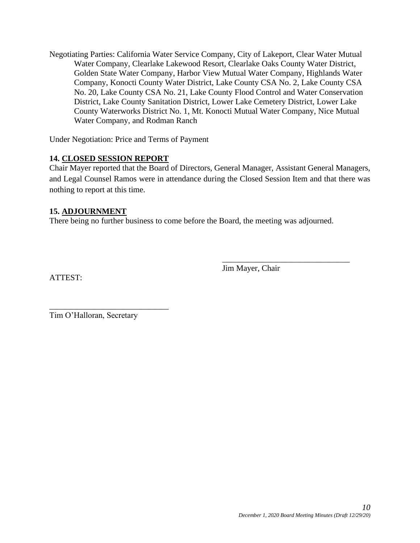Negotiating Parties: California Water Service Company, City of Lakeport, Clear Water Mutual Water Company, Clearlake Lakewood Resort, Clearlake Oaks County Water District, Golden State Water Company, Harbor View Mutual Water Company, Highlands Water Company, Konocti County Water District, Lake County CSA No. 2, Lake County CSA No. 20, Lake County CSA No. 21, Lake County Flood Control and Water Conservation District, Lake County Sanitation District, Lower Lake Cemetery District, Lower Lake County Waterworks District No. 1, Mt. Konocti Mutual Water Company, Nice Mutual Water Company, and Rodman Ranch

Under Negotiation: Price and Terms of Payment

#### **14. CLOSED SESSION REPORT**

Chair Mayer reported that the Board of Directors, General Manager, Assistant General Managers, and Legal Counsel Ramos were in attendance during the Closed Session Item and that there was nothing to report at this time.

#### **15. ADJOURNMENT**

There being no further business to come before the Board, the meeting was adjourned.

ATTEST:

Jim Mayer, Chair

\_\_\_\_\_\_\_\_\_\_\_\_\_\_\_\_\_\_\_\_\_\_\_\_\_\_\_\_\_\_\_

Tim O'Halloran, Secretary

\_\_\_\_\_\_\_\_\_\_\_\_\_\_\_\_\_\_\_\_\_\_\_\_\_\_\_\_\_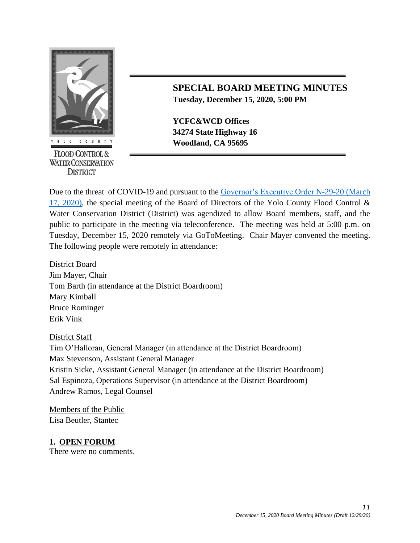

**FLOOD CONTROL & WATER CONSERVATION DISTRICT** 

# **SPECIAL BOARD MEETING MINUTES Tuesday, December 15, 2020, 5:00 PM**

**YCFC&WCD Offices 34274 State Highway 16 EXECUTE:** Woodland, CA 95695

Due to the threat of COVID-19 and pursuant to the [Governor's Executive Order N-29-20 \(March](https://www.gov.ca.gov/wp-content/uploads/2020/03/3.17.20-N-29-20-EO.pdf)  [17, 2020\),](https://www.gov.ca.gov/wp-content/uploads/2020/03/3.17.20-N-29-20-EO.pdf) the special meeting of the Board of Directors of the Yolo County Flood Control & Water Conservation District (District) was agendized to allow Board members, staff, and the public to participate in the meeting via teleconference. The meeting was held at 5:00 p.m. on Tuesday, December 15, 2020 remotely via GoToMeeting. Chair Mayer convened the meeting. The following people were remotely in attendance:

District Board Jim Mayer, Chair Tom Barth (in attendance at the District Boardroom) Mary Kimball Bruce Rominger Erik Vink

#### District Staff

Tim O'Halloran, General Manager (in attendance at the District Boardroom) Max Stevenson, Assistant General Manager Kristin Sicke, Assistant General Manager (in attendance at the District Boardroom) Sal Espinoza, Operations Supervisor (in attendance at the District Boardroom) Andrew Ramos, Legal Counsel

Members of the Public Lisa Beutler, Stantec

#### **1. OPEN FORUM**

There were no comments.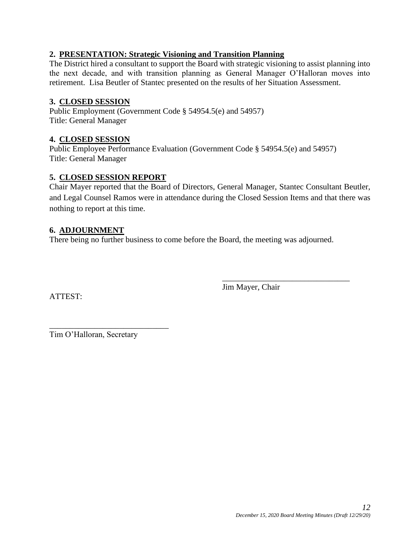#### **2. PRESENTATION: Strategic Visioning and Transition Planning**

The District hired a consultant to support the Board with strategic visioning to assist planning into the next decade, and with transition planning as General Manager O'Halloran moves into retirement. Lisa Beutler of Stantec presented on the results of her Situation Assessment.

#### **3. CLOSED SESSION**

Public Employment (Government Code § 54954.5(e) and 54957) Title: General Manager

#### **4. CLOSED SESSION**

Public Employee Performance Evaluation (Government Code § 54954.5(e) and 54957) Title: General Manager

## **5. CLOSED SESSION REPORT**

Chair Mayer reported that the Board of Directors, General Manager, Stantec Consultant Beutler, and Legal Counsel Ramos were in attendance during the Closed Session Items and that there was nothing to report at this time.

### **6. ADJOURNMENT**

There being no further business to come before the Board, the meeting was adjourned.

ATTEST:

Jim Mayer, Chair

\_\_\_\_\_\_\_\_\_\_\_\_\_\_\_\_\_\_\_\_\_\_\_\_\_\_\_\_\_\_\_

\_\_\_\_\_\_\_\_\_\_\_\_\_\_\_\_\_\_\_\_\_\_\_\_\_\_\_\_\_ Tim O'Halloran, Secretary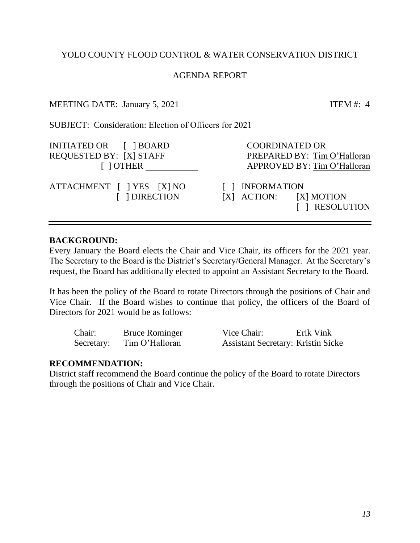## AGENDA REPORT

### MEETING DATE: January 5, 2021 ITEM #: 4

<span id="page-12-0"></span>SUBJECT: Consideration: Election of Officers for 2021

| INITIATED OR [ ] BOARD                     | <b>COORDINATED OR</b>                                           |
|--------------------------------------------|-----------------------------------------------------------------|
| REQUESTED BY: [X] STAFF                    | PREPARED BY: Tim O'Halloran                                     |
| $\lceil$ $\rceil$ OTHER                    | APPROVED BY: Tim O'Halloran                                     |
| ATTACHMENT [ ] YES [X] NO<br>[ ] DIRECTION | [ ] INFORMATION<br>$[X]$ ACTION: $[X]$ MOTION<br>[ ] RESOLUTION |

### **BACKGROUND:**

Every January the Board elects the Chair and Vice Chair, its officers for the 2021 year. The Secretary to the Board is the District's Secretary/General Manager. At the Secretary's request, the Board has additionally elected to appoint an Assistant Secretary to the Board.

It has been the policy of the Board to rotate Directors through the positions of Chair and Vice Chair. If the Board wishes to continue that policy, the officers of the Board of Directors for 2021 would be as follows:

| Chair:     | <b>Bruce Rominger</b> | Vice Chair:                               | Erik Vink |
|------------|-----------------------|-------------------------------------------|-----------|
| Secretary: | Tim O'Halloran        | <b>Assistant Secretary: Kristin Sicke</b> |           |

#### **RECOMMENDATION:**

District staff recommend the Board continue the policy of the Board to rotate Directors through the positions of Chair and Vice Chair.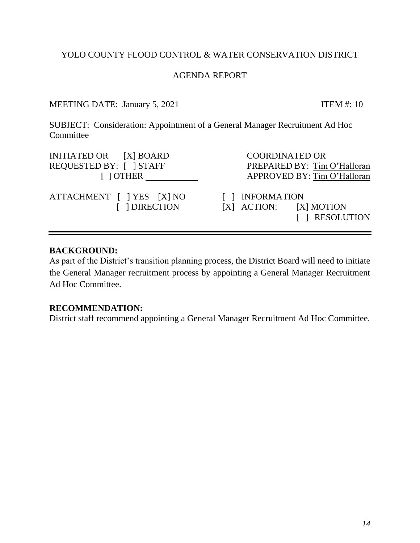## AGENDA REPORT

MEETING DATE: January 5, 2021 ITEM #: 10

<span id="page-13-0"></span>SUBJECT: Consideration: Appointment of a General Manager Recruitment Ad Hoc Committee

| INITIATED OR [X] BOARD                     | <b>COORDINATED OR</b>                                           |
|--------------------------------------------|-----------------------------------------------------------------|
| REQUESTED BY: [ ] STAFF                    | PREPARED BY: Tim O'Halloran                                     |
| $\lceil$ $\rceil$ OTHER                    | APPROVED BY: Tim O'Halloran                                     |
| ATTACHMENT [ ] YES [X] NO<br>[ ] DIRECTION | [ ] INFORMATION<br>$[X]$ ACTION: $[X]$ MOTION<br>[ ] RESOLUTION |

## **BACKGROUND:**

As part of the District's transition planning process, the District Board will need to initiate the General Manager recruitment process by appointing a General Manager Recruitment Ad Hoc Committee.

#### **RECOMMENDATION:**

District staff recommend appointing a General Manager Recruitment Ad Hoc Committee.